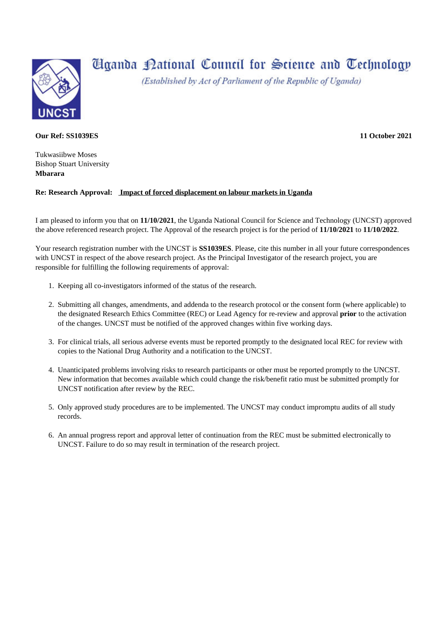

## **Hganda Pational Council for Science and Technology**

(Established by Act of Parliament of the Republic of Uganda)

## **Our Ref: SS1039ES**

Tukwasiibwe Moses Bishop Stuart University **Mbarara**

## **Re: Research Approval: Impact of forced displacement on labour markets in Uganda**

I am pleased to inform you that on **11/10/2021**, the Uganda National Council for Science and Technology (UNCST) approved the above referenced research project. The Approval of the research project is for the period of **11/10/2021** to **11/10/2022**.

Your research registration number with the UNCST is **SS1039ES**. Please, cite this number in all your future correspondences with UNCST in respect of the above research project. As the Principal Investigator of the research project, you are responsible for fulfilling the following requirements of approval:

- 1. Keeping all co-investigators informed of the status of the research.
- 2. Submitting all changes, amendments, and addenda to the research protocol or the consent form (where applicable) to the designated Research Ethics Committee (REC) or Lead Agency for re-review and approval **prior** to the activation of the changes. UNCST must be notified of the approved changes within five working days.
- 3. For clinical trials, all serious adverse events must be reported promptly to the designated local REC for review with copies to the National Drug Authority and a notification to the UNCST.
- 4. Unanticipated problems involving risks to research participants or other must be reported promptly to the UNCST. New information that becomes available which could change the risk/benefit ratio must be submitted promptly for UNCST notification after review by the REC.
- 5. Only approved study procedures are to be implemented. The UNCST may conduct impromptu audits of all study records.
- 6. An annual progress report and approval letter of continuation from the REC must be submitted electronically to UNCST. Failure to do so may result in termination of the research project.

**11 October 2021**